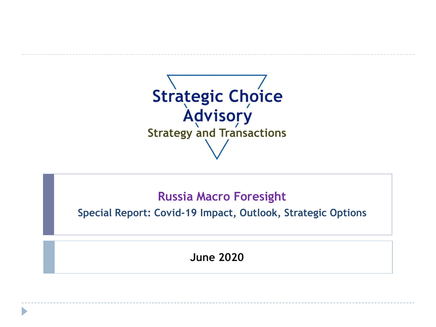

# **Russia Macro Foresight**

**Special Report: Covid-19 Impact, Outlook, Strategic Options**

**June 2020**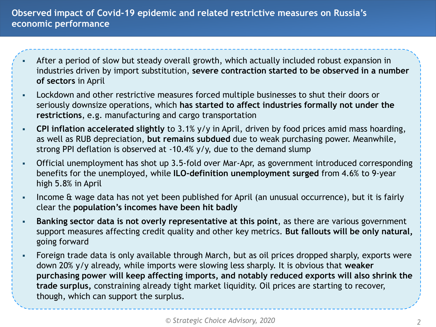#### **Observed impact of Covid-19 epidemic and related restrictive measures on Russia's economic performance**

- After a period of slow but steady overall growth, which actually included robust expansion in industries driven by import substitution, **severe contraction started to be observed in a number of sectors** in April
- Lockdown and other restrictive measures forced multiple businesses to shut their doors or seriously downsize operations, which **has started to affect industries formally not under the restrictions**, e.g. manufacturing and cargo transportation
- **CPI inflation accelerated slightly** to 3.1% y/y in April, driven by food prices amid mass hoarding, as well as RUB depreciation, **but remains subdued** due to weak purchasing power. Meanwhile, strong PPI deflation is observed at -10.4% y/y, due to the demand slump
- Official unemployment has shot up 3.5-fold over Mar-Apr, as government introduced corresponding benefits for the unemployed, while **ILO-definition unemployment surged** from 4.6% to 9-year high 5.8% in April
- Income & wage data has not yet been published for April (an unusual occurrence), but it is fairly clear the **population's incomes have been hit badly**
- **Banking sector data is not overly representative at this point**, as there are various government support measures affecting credit quality and other key metrics. **But fallouts will be only natural,** going forward
- Foreign trade data is only available through March, but as oil prices dropped sharply, exports were down 20% y/y already, while imports were slowing less sharply. It is obvious that **weaker purchasing power will keep affecting imports, and notably reduced exports will also shrink the trade surplus,** constraining already tight market liquidity. Oil prices are starting to recover, though, which can support the surplus.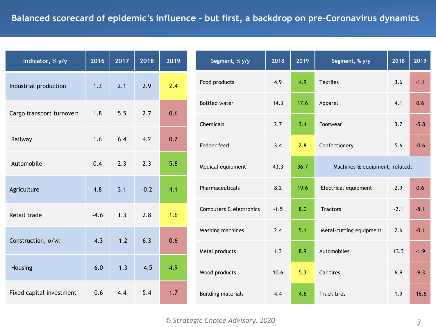| Indicator, % y/y          | 2016   | 2017   | 2018   | 2019 |
|---------------------------|--------|--------|--------|------|
| Industrial production     | 1.3    | 2.1    | 2.9    | 2.4  |
| Cargo transport turnover: | 1.8    | 5.5    | 2.7    | 0.6  |
| Railway                   | 1.6    | 6.4    | 4.2    | 0.2  |
| Automobile                | 0.4    | 2.3    | 2.3    | 5.8  |
| Agriculture               | 4.8    | 3.1    | $-0.2$ | 4.1  |
| Retail trade              | $-4.6$ | 1.3    | 2.8    | 1.6  |
| Construction, o/w:        | $-4.3$ | $-1.2$ | 6.3    | 0.6  |
| Housing                   | $-6.0$ | $-1.3$ | $-4.5$ | 4.9  |
| Fixed capital investment  | $-0.6$ | 4.4    | 5.4    | 1.7  |

| Segment, % y/y            | 2018   | 2019 | Segment, % y/y                 | 2018   | 2019    |  |
|---------------------------|--------|------|--------------------------------|--------|---------|--|
| Food products             | 4.9    | 4.9  | <b>Textiles</b>                | 3.6    | $-1.1$  |  |
| <b>Bottled water</b>      | 14.3   | 17.6 | Apparel                        | 4.1    | 0.6     |  |
| Chemicals                 | 2.7    | 3.4  | Footwear                       | 3.7    | $-5.8$  |  |
| Fodder feed               | 3.4    | 2.8  | Confectionery                  | 5.6    | $-0.6$  |  |
| Medical equipment         | 43.3   | 36.7 | Machines & equipment; related: |        |         |  |
| Pharmaceuticals           | 8.2    | 19.6 | Electrical equipment           | 2.9    | 0.6     |  |
| Computers & electronics   | $-1.5$ | 8.0  | <b>Tractors</b>                | $-2.1$ | $-8.1$  |  |
| Washing machines          | 2.4    | 5.1  | Metal-cutting equipment        | 2.6    | $-0.1$  |  |
| Metal products            | 1.3    | 8.9  | Automobiles                    | 13.3   | $-1.9$  |  |
| Wood products             | 10.6   | 5.3  | Car tires                      | 6.9    | $-9.3$  |  |
| <b>Building materials</b> | 4.4    | 4.6  | <b>Truck tires</b>             | 1.9    | $-16.6$ |  |
|                           |        |      |                                |        |         |  |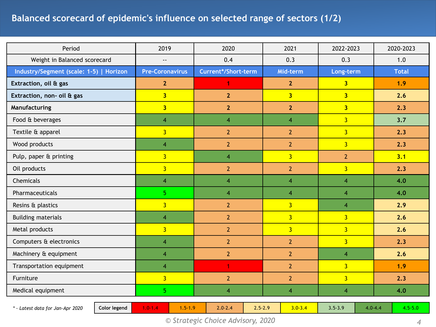## **Balanced scorecard of epidemic's influence on selected range of sectors (1/2)**

| Period                                           | 2019                       | 2020                       | 2021           | 2022-2023      | 2020-2023                  |
|--------------------------------------------------|----------------------------|----------------------------|----------------|----------------|----------------------------|
| Weight in Balanced scorecard                     | $\overline{\phantom{a}}$   | 0.4                        | 0.3            | 0.3            | 1.0                        |
| Industry/Segment (scale: 1-5)   Horizon          | <b>Pre-Coronavirus</b>     | Current*/Short-term        | Mid-term       | Long-term      | <b>Total</b>               |
| Extraction, oil & gas                            | 2 <sup>2</sup>             | 1                          | $\mathbf{2}$   | 3 <sup>1</sup> | 1.9                        |
| Extraction, non- oil & gas                       | $\overline{\mathbf{3}}$    | $\overline{2}$             | $\overline{3}$ | $\overline{3}$ | 2.6                        |
| Manufacturing                                    | $\overline{\mathbf{3}}$    | $\overline{2}$             | $\overline{2}$ | 3 <sup>1</sup> | 2.3                        |
| Food & beverages                                 | $\overline{4}$             | $\overline{4}$             | $\overline{4}$ | $\overline{3}$ | 3.7                        |
| Textile & apparel                                | $\overline{3}$             | $\overline{2}$             | $\overline{2}$ | $\overline{3}$ | 2.3                        |
| Wood products                                    | $\overline{4}$             | $\overline{2}$             | $\overline{2}$ | $\overline{3}$ | 2.3                        |
| Pulp, paper & printing                           | $\overline{3}$             | $\overline{4}$             | $\overline{3}$ | $\overline{2}$ | 3.1                        |
| Oil products                                     | $\overline{3}$             | $\overline{2}$             | $\overline{2}$ | $\overline{3}$ | 2.3                        |
| Chemicals                                        | 4                          | $\overline{4}$             | $\overline{4}$ | $\overline{4}$ | 4.0                        |
| Pharmaceuticals                                  | $\overline{\mathbf{5}}$    | $\overline{4}$             | $\overline{4}$ | $\overline{4}$ | 4.0                        |
| Resins & plastics                                | $\overline{3}$             | $\overline{2}$             | $\overline{3}$ | $\overline{4}$ | 2.9                        |
| <b>Building materials</b>                        | $\overline{4}$             | $\overline{2}$             | $\overline{3}$ | $\overline{3}$ | 2.6                        |
| Metal products                                   | $\overline{3}$             | $\overline{2}$             | $\overline{3}$ | $\overline{3}$ | 2.6                        |
| Computers & electronics                          | $\overline{4}$             | $\overline{2}$             | $\overline{2}$ | $\overline{3}$ | 2.3                        |
| Machinery & equipment                            | $\overline{4}$             | $\overline{2}$             | $\overline{2}$ | $\overline{4}$ | 2.6                        |
| Transportation equipment                         | $\overline{4}$             | $\mathbf{1}$               | $\overline{2}$ | $\overline{3}$ | 1.9                        |
| Furniture                                        | $\overline{3}$             | $\overline{2}$             | $\overline{2}$ | $\overline{3}$ | 2.3                        |
| Medical equipment                                | 5 <sub>1</sub>             | $\overline{4}$             | $\overline{4}$ | $\overline{4}$ | 4.0                        |
| Color legend<br>* - Latest data for Jan-Apr 2020 | $1.5 - 1.9$<br>$1.0 - 1.4$ | $2.5 - 2.9$<br>$2.0 - 2.4$ | $3.0 - 3.4$    | $3.5 - 3.9$    | $4.5 - 5.0$<br>$4.0 - 4.4$ |

*© Strategic Choice Advisory, 2020 4*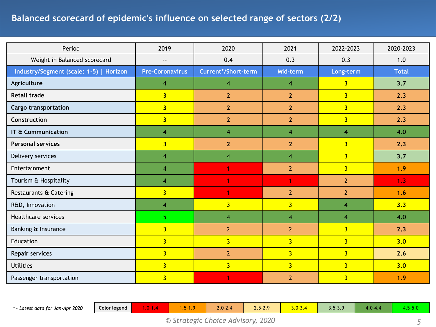### **Balanced scorecard of epidemic's influence on selected range of sectors (2/2)**

| Period                                  | 2019                    | 2020                    | 2021                    | 2022-2023               | 2020-2023    |
|-----------------------------------------|-------------------------|-------------------------|-------------------------|-------------------------|--------------|
| Weight in Balanced scorecard            |                         | 0.4                     | 0.3                     | 0.3                     | 1.0          |
| Industry/Segment (scale: 1-5)   Horizon | <b>Pre-Coronavirus</b>  | Current*/Short-term     | Mid-term                | Long-term               | <b>Total</b> |
| Agriculture                             | $\overline{\mathbf{4}}$ | $\overline{\mathbf{4}}$ | 4                       | $\overline{\mathbf{3}}$ | 3.7          |
| <b>Retail trade</b>                     | $\overline{3}$          | 2 <sup>2</sup>          | $\overline{2}$          | 3 <sup>1</sup>          | 2.3          |
| <b>Cargo transportation</b>             | $\overline{\mathbf{3}}$ | 2 <sup>2</sup>          | $\overline{2}$          | 3 <sup>1</sup>          | 2.3          |
| Construction                            | 3 <sup>1</sup>          | $\overline{2}$          | $\overline{2}$          | 3 <sup>1</sup>          | 2.3          |
| IT & Communication                      | $\overline{\mathbf{4}}$ | 4                       | 4                       | $\overline{\mathbf{4}}$ | 4.0          |
| <b>Personal services</b>                | $\overline{\mathbf{3}}$ | $\overline{2}$          | $\overline{2}$          | 3 <sup>1</sup>          | 2.3          |
| Delivery services                       | $\overline{4}$          | $\overline{4}$          | 4                       | $\overline{3}$          | 3.7          |
| Entertainment                           | $\overline{4}$          | 1                       | $\overline{2}$          | 3 <sup>1</sup>          | 1.9          |
| Tourism & Hospitality                   | $\overline{4}$          | 1                       | 1                       | $\overline{2}$          | 1.3          |
| Restaurants & Catering                  | $\overline{3}$          | 1                       | $\overline{2}$          | $\overline{2}$          | 1.6          |
| R&D, Innovation                         | $\overline{4}$          | $\overline{3}$          | $\overline{3}$          | $\overline{4}$          | 3.3          |
| Healthcare services                     | 5                       | $\overline{4}$          | $\overline{\mathbf{4}}$ | $\overline{4}$          | 4.0          |
| Banking & Insurance                     | $\overline{3}$          | $\overline{2}$          | $\overline{2}$          | $\overline{3}$          | 2.3          |
| Education                               | $\overline{3}$          | $\overline{3}$          | $\overline{3}$          | $\overline{3}$          | 3.0          |
| Repair services                         | 3 <sup>1</sup>          | $\overline{2}$          | $\overline{3}$          | $\overline{3}$          | 2.6          |
| <b>Utilities</b>                        | $\overline{3}$          | $\overline{3}$          | $\overline{3}$          | $\overline{3}$          | 3.0          |
| Passenger transportation                | $\overline{3}$          | 1                       | $\overline{2}$          | $\overline{3}$          | 1.9          |

*\* - Latest data for Jan-Apr 2020* **Color legend** 1.0-1.4 1.5-1.9 2.0-2.4 2.5-2.9 3.0-3.4 3.5-3.9 4.0-4.4 4.5-5.0

*© Strategic Choice Advisory, 2020 5*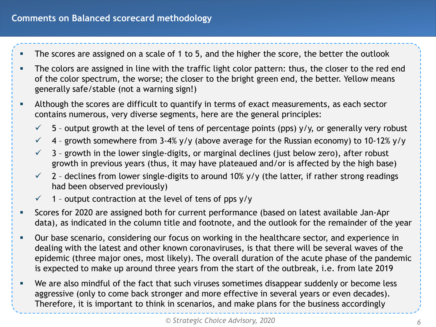- The scores are assigned on a scale of 1 to 5, and the higher the score, the better the outlook
- The colors are assigned in line with the traffic light color pattern: thus, the closer to the red end of the color spectrum, the worse; the closer to the bright green end, the better. Yellow means generally safe/stable (not a warning sign!)
- Although the scores are difficult to quantify in terms of exact measurements, as each sector contains numerous, very diverse segments, here are the general principles:
	- $\checkmark$  5 output growth at the level of tens of percentage points (pps) y/y, or generally very robust
	- $4$  growth somewhere from 3-4% y/y (above average for the Russian economy) to 10-12% y/y
	- $\checkmark$  3 growth in the lower single-digits, or marginal declines (just below zero), after robust growth in previous years (thus, it may have plateaued and/or is affected by the high base)
	- $\checkmark$  2 declines from lower single-digits to around 10% y/y (the latter, if rather strong readings had been observed previously)
	- $\checkmark$  1 output contraction at the level of tens of pps y/y
- Scores for 2020 are assigned both for current performance (based on latest available Jan-Apr data), as indicated in the column title and footnote, and the outlook for the remainder of the year
- Our base scenario, considering our focus on working in the healthcare sector, and experience in dealing with the latest and other known coronaviruses, is that there will be several waves of the epidemic (three major ones, most likely). The overall duration of the acute phase of the pandemic is expected to make up around three years from the start of the outbreak, i.e. from late 2019
- We are also mindful of the fact that such viruses sometimes disappear suddenly or become less aggressive (only to come back stronger and more effective in several years or even decades). Therefore, it is important to think in scenarios, and make plans for the business accordingly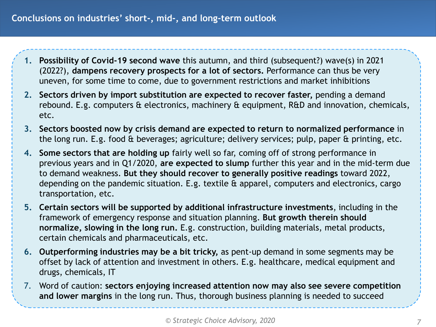- **1. Possibility of Covid-19 second wave** this autumn, and third (subsequent?) wave(s) in 2021 (2022?), **dampens recovery prospects for a lot of sectors.** Performance can thus be very uneven, for some time to come, due to government restrictions and market inhibitions
- **2. Sectors driven by import substitution are expected to recover faster,** pending a demand rebound. E.g. computers & electronics, machinery & equipment, R&D and innovation, chemicals, etc.
- **3. Sectors boosted now by crisis demand are expected to return to normalized performance** in the long run. E.g. food & beverages; agriculture; delivery services; pulp, paper & printing, etc.
- **4. Some sectors that are holding up** fairly well so far, coming off of strong performance in previous years and in Q1/2020, **are expected to slump** further this year and in the mid-term due to demand weakness. **But they should recover to generally positive readings** toward 2022, depending on the pandemic situation. E.g. textile & apparel, computers and electronics, cargo transportation, etc.
- **5. Certain sectors will be supported by additional infrastructure investments**, including in the framework of emergency response and situation planning. **But growth therein should normalize, slowing in the long run.** E.g. construction, building materials, metal products, certain chemicals and pharmaceuticals, etc.
- **6. Outperforming industries may be a bit tricky,** as pent-up demand in some segments may be offset by lack of attention and investment in others. E.g. healthcare, medical equipment and drugs, chemicals, IT
- 7. Word of caution: **sectors enjoying increased attention now may also see severe competition and lower margins** in the long run. Thus, thorough business planning is needed to succeed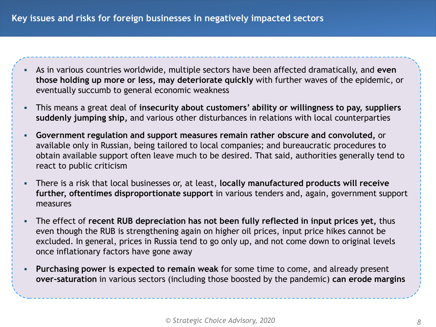- As in various countries worldwide, multiple sectors have been affected dramatically, and **even those holding up more or less, may deteriorate quickly** with further waves of the epidemic, or eventually succumb to general economic weakness
- This means a great deal of **insecurity about customers' ability or willingness to pay, suppliers suddenly jumping ship,** and various other disturbances in relations with local counterparties
- **Government regulation and support measures remain rather obscure and convoluted,** or available only in Russian, being tailored to local companies; and bureaucratic procedures to obtain available support often leave much to be desired. That said, authorities generally tend to react to public criticism
- There is a risk that local businesses or, at least, **locally manufactured products will receive further, oftentimes disproportionate support** in various tenders and, again, government support measures
- The effect of **recent RUB depreciation has not been fully reflected in input prices yet,** thus even though the RUB is strengthening again on higher oil prices, input price hikes cannot be excluded. In general, prices in Russia tend to go only up, and not come down to original levels once inflationary factors have gone away
- **Purchasing power is expected to remain weak** for some time to come, and already present **over-saturation** in various sectors (including those boosted by the pandemic) **can erode margins**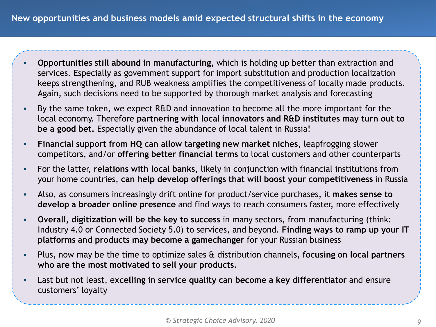- **Opportunities still abound in manufacturing,** which is holding up better than extraction and services. Especially as government support for import substitution and production localization keeps strengthening, and RUB weakness amplifies the competitiveness of locally made products. Again, such decisions need to be supported by thorough market analysis and forecasting
- By the same token, we expect R&D and innovation to become all the more important for the local economy. Therefore **partnering with local innovators and R&D institutes may turn out to be a good bet.** Especially given the abundance of local talent in Russia!
- **Financial support from HQ can allow targeting new market niches, leapfrogging slower** competitors, and/or **offering better financial terms** to local customers and other counterparts
- For the latter, **relations with local banks,** likely in conjunction with financial institutions from your home countries, **can help develop offerings that will boost your competitiveness** in Russia
- Also, as consumers increasingly drift online for product/service purchases, it **makes sense to develop a broader online presence** and find ways to reach consumers faster, more effectively
- **Overall, digitization will be the key to success** in many sectors, from manufacturing (think: Industry 4.0 or Connected Society 5.0) to services, and beyond. **Finding ways to ramp up your IT platforms and products may become a gamechanger** for your Russian business
- Plus, now may be the time to optimize sales & distribution channels, **focusing on local partners who are the most motivated to sell your products.**
- Last but not least, e**xcelling in service quality can become a key differentiator** and ensure customers' loyalty